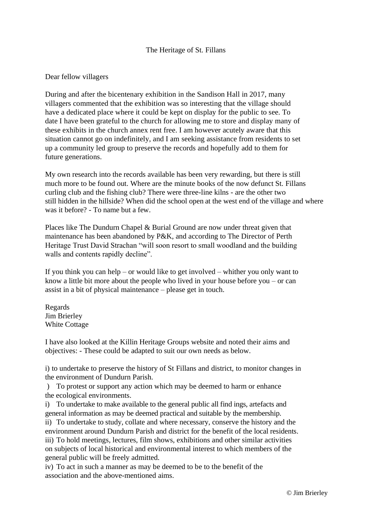## The Heritage of St. Fillans

## Dear fellow villagers

During and after the bicentenary exhibition in the Sandison Hall in 2017, many villagers commented that the exhibition was so interesting that the village should have a dedicated place where it could be kept on display for the public to see. To date I have been grateful to the church for allowing me to store and display many of these exhibits in the church annex rent free. I am however acutely aware that this situation cannot go on indefinitely, and I am seeking assistance from residents to set up a community led group to preserve the records and hopefully add to them for future generations.

My own research into the records available has been very rewarding, but there is still much more to be found out. Where are the minute books of the now defunct St. Fillans curling club and the fishing club? There were three-line kilns - are the other two still hidden in the hillside? When did the school open at the west end of the village and where was it before? - To name but a few.

Places like The Dundurn Chapel & Burial Ground are now under threat given that maintenance has been abandoned by P&K, and according to The Director of Perth Heritage Trust David Strachan "will soon resort to small woodland and the building walls and contents rapidly decline".

If you think you can help – or would like to get involved – whither you only want to know a little bit more about the people who lived in your house before you – or can assist in a bit of physical maintenance – please get in touch.

Regards Jim Brierley White Cottage

I have also looked at the Killin Heritage Groups website and noted their aims and objectives: - These could be adapted to suit our own needs as below.

i) to undertake to preserve the history of St Fillans and district, to monitor changes in the environment of Dundurn Parish.

) To protest or support any action which may be deemed to harm or enhance the ecological environments.

i) To undertake to make available to the general public all find ings, artefacts and general information as may be deemed practical and suitable by the membership.

ii) To undertake to study, collate and where necessary, conserve the history and the environment around Dundurn Parish and district for the benefit of the local residents. iii) To hold meetings, lectures, film shows, exhibitions and other similar activities on subjects of local historical and environmental interest to which members of the general public will be freely admitted.

iv) To act in such a manner as may be deemed to be to the benefit of the association and the above-mentioned aims.